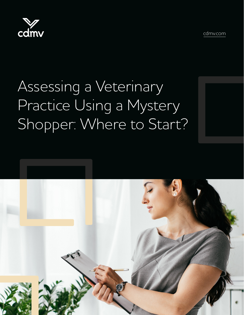



# Assessing a Veterinary Practice Using a Mystery Shopper: Where to Start?

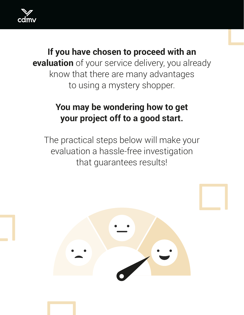

#### **If you have chosen to proceed with an evaluation** of your service delivery, you already know that there are many advantages to using a mystery shopper.

### **You may be wondering how to get your project off to a good start.**

The practical steps below will make your evaluation a hassle-free investigation that guarantees results!

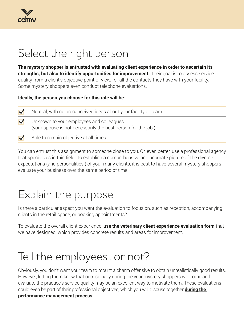# Select the right person

**The mystery shopper is entrusted with evaluating client experience in order to ascertain its strengths, but also to identify opportunities for improvement.** Their goal is to assess service quality from a client's objective point of view, for all the contacts they have with your facility. Some mystery shoppers even conduct telephone evaluations.

**Ideally, the person you choose for this role will be:**

| $\blacktriangledown$ | Neutral, with no preconceived ideas about your facility or team.                                           |
|----------------------|------------------------------------------------------------------------------------------------------------|
| $\blacktriangledown$ | Unknown to your employees and colleagues<br>(your spouse is not necessarily the best person for the job!). |
| $\blacktriangledown$ | Able to remain objective at all times.                                                                     |

You can entrust this assignment to someone close to you. Or, even better, use a professional agency that specializes in this field. To establish a comprehensive and accurate picture of the diverse expectations (and personalities!) of your many clients, it is best to have several mystery shoppers evaluate your business over the same period of time.

# Explain the purpose

Is there a particular aspect you want the evaluation to focus on, such as reception, accompanying clients in the retail space, or booking appointments?

To evaluate the overall client experience, **use the veterinary client experience evaluation form** that we have designed, which provides concrete results and areas for improvement.

# Tell the employees…or not?

Obviously, you don't want your team to mount a charm offensive to obtain unrealistically good results. However, letting them know that occasionally during the year mystery shoppers will come and evaluate the practice's service quality may be an excellent way to motivate them. These evaluations could even be part of their professional objectives, which you will discuss together **[during the](https://www.cdmv.com/en/human-resources/performance-management/)  [performance management process.](https://www.cdmv.com/en/human-resources/performance-management/)**